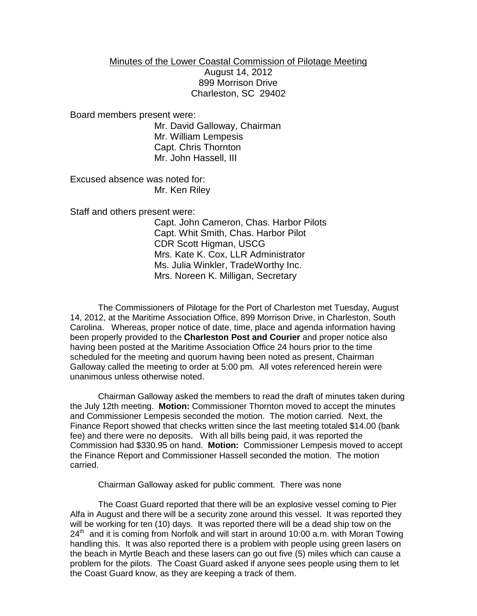## Minutes of the Lower Coastal Commission of Pilotage Meeting

August 14, 2012 899 Morrison Drive Charleston, SC 29402

Board members present were:

Mr. David Galloway, Chairman Mr. William Lempesis Capt. Chris Thornton Mr. John Hassell, III

Excused absence was noted for: Mr. Ken Riley

Staff and others present were:

Capt. John Cameron, Chas. Harbor Pilots Capt. Whit Smith, Chas. Harbor Pilot CDR Scott Higman, USCG Mrs. Kate K. Cox, LLR Administrator Ms. Julia Winkler, TradeWorthy Inc. Mrs. Noreen K. Milligan, Secretary

The Commissioners of Pilotage for the Port of Charleston met Tuesday, August 14, 2012, at the Maritime Association Office, 899 Morrison Drive, in Charleston, South Carolina. Whereas, proper notice of date, time, place and agenda information having been properly provided to the **Charleston Post and Courier** and proper notice also having been posted at the Maritime Association Office 24 hours prior to the time scheduled for the meeting and quorum having been noted as present, Chairman Galloway called the meeting to order at 5:00 pm. All votes referenced herein were unanimous unless otherwise noted.

Chairman Galloway asked the members to read the draft of minutes taken during the July 12th meeting. **Motion:** Commissioner Thornton moved to accept the minutes and Commissioner Lempesis seconded the motion. The motion carried. Next, the Finance Report showed that checks written since the last meeting totaled \$14.00 (bank fee) and there were no deposits. With all bills being paid, it was reported the Commission had \$330.95 on hand. **Motion:** Commissioner Lempesis moved to accept the Finance Report and Commissioner Hassell seconded the motion. The motion carried.

Chairman Galloway asked for public comment. There was none

The Coast Guard reported that there will be an explosive vessel coming to Pier Alfa in August and there will be a security zone around this vessel. It was reported they will be working for ten (10) days. It was reported there will be a dead ship tow on the  $24<sup>th</sup>$  and it is coming from Norfolk and will start in around 10:00 a.m. with Moran Towing handling this. It was also reported there is a problem with people using green lasers on the beach in Myrtle Beach and these lasers can go out five (5) miles which can cause a problem for the pilots. The Coast Guard asked if anyone sees people using them to let the Coast Guard know, as they are keeping a track of them.